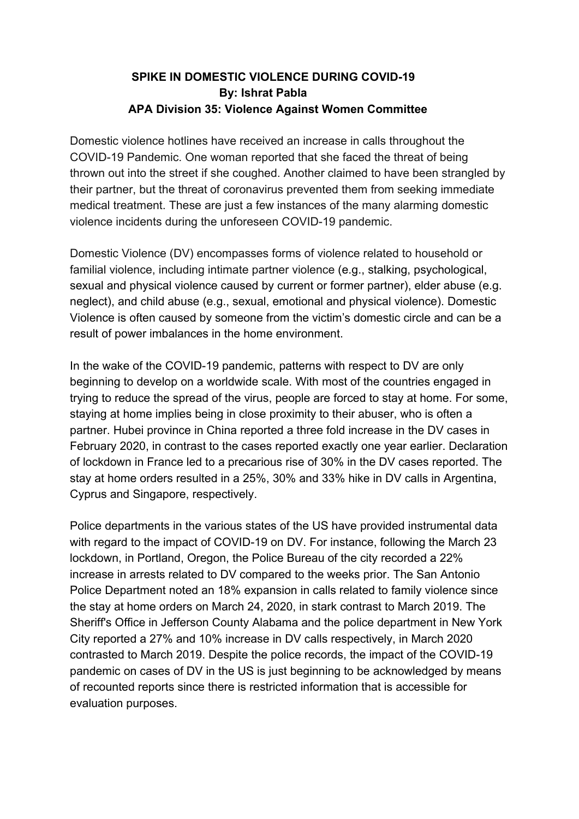## **SPIKE IN DOMESTIC VIOLENCE DURING COVID-19 By: Ishrat Pabla APA Division 35: Violence Against Women Committee**

Domestic violence hotlines have received an increase in calls throughout the COVID-19 Pandemic. One woman reported that she faced the threat of being thrown out into the street if she coughed. Another claimed to have been strangled by their partner, but the threat of coronavirus prevented them from seeking immediate medical treatment. These are just a few instances of the many alarming domestic violence incidents during the unforeseen COVID-19 pandemic.

Domestic Violence (DV) encompasses forms of violence related to household or familial violence, including intimate partner violence (e.g., stalking, psychological, sexual and physical violence caused by current or former partner), elder abuse (e.g. neglect), and child abuse (e.g., sexual, emotional and physical violence). Domestic Violence is often caused by someone from the victim's domestic circle and can be a result of power imbalances in the home environment.

In the wake of the COVID-19 pandemic, patterns with respect to DV are only beginning to develop on a worldwide scale. With most of the countries engaged in trying to reduce the spread of the virus, people are forced to stay at home. For some, staying at home implies being in close proximity to their abuser, who is often a partner. Hubei province in China reported a three fold increase in the DV cases in February 2020, in contrast to the cases reported exactly one year earlier. Declaration of lockdown in France led to a precarious rise of 30% in the DV cases reported. The stay at home orders resulted in a 25%, 30% and 33% hike in DV calls in Argentina, Cyprus and Singapore, respectively.

Police departments in the various states of the US have provided instrumental data with regard to the impact of COVID-19 on DV. For instance, following the March 23 lockdown, in Portland, Oregon, the Police Bureau of the city recorded a 22% increase in arrests related to DV compared to the weeks prior. The San Antonio Police Department noted an 18% expansion in calls related to family violence since the stay at home orders on March 24, 2020, in stark contrast to March 2019. The Sheriff's Office in Jefferson County Alabama and the police department in New York City reported a 27% and 10% increase in DV calls respectively, in March 2020 contrasted to March 2019. Despite the police records, the impact of the COVID-19 pandemic on cases of DV in the US is just beginning to be acknowledged by means of recounted reports since there is restricted information that is accessible for evaluation purposes.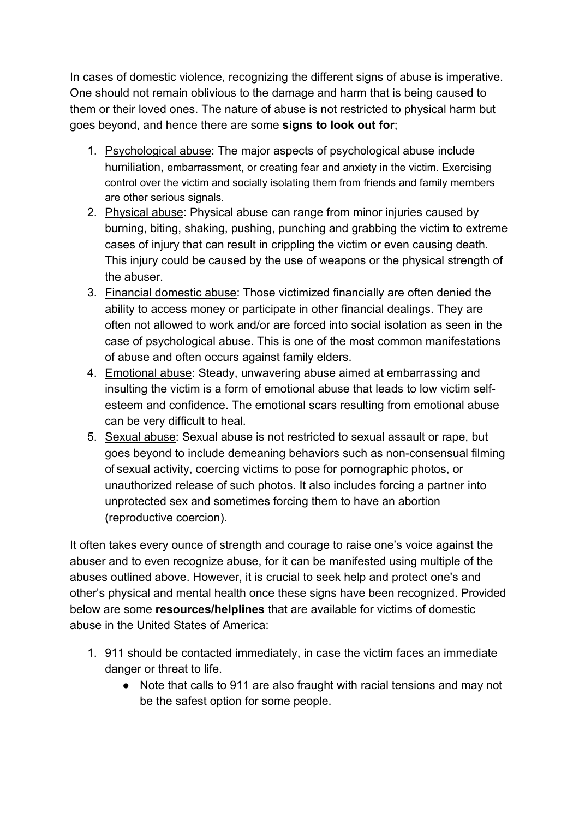In cases of domestic violence, recognizing the different signs of abuse is imperative. One should not remain oblivious to the damage and harm that is being caused to them or their loved ones. The nature of abuse is not restricted to physical harm but goes beyond, and hence there are some **signs to look out for**;

- 1. Psychological abuse: The major aspects of psychological abuse include humiliation, embarrassment, or creating fear and anxiety in the victim. Exercising control over the victim and socially isolating them from friends and family members are other serious signals.
- 2. Physical abuse: Physical abuse can range from minor injuries caused by burning, biting, shaking, pushing, punching and grabbing the victim to extreme cases of injury that can result in crippling the victim or even causing death. This injury could be caused by the use of weapons or the physical strength of the abuser.
- 3. Financial domestic abuse: Those victimized financially are often denied the ability to access money or participate in other financial dealings. They are often not allowed to work and/or are forced into social isolation as seen in the case of psychological abuse. This is one of the most common manifestations of abuse and often occurs against family elders.
- 4. Emotional abuse: Steady, unwavering abuse aimed at embarrassing and insulting the victim is a form of emotional abuse that leads to low victim selfesteem and confidence. The emotional scars resulting from emotional abuse can be very difficult to heal.
- 5. Sexual abuse: Sexual abuse is not restricted to sexual assault or rape, but goes beyond to include demeaning behaviors such as non-consensual filming of sexual activity, coercing victims to pose for pornographic photos, or unauthorized release of such photos. It also includes forcing a partner into unprotected sex and sometimes forcing them to have an abortion (reproductive coercion).

It often takes every ounce of strength and courage to raise one's voice against the abuser and to even recognize abuse, for it can be manifested using multiple of the abuses outlined above. However, it is crucial to seek help and protect one's and other's physical and mental health once these signs have been recognized. Provided below are some **resources/helplines** that are available for victims of domestic abuse in the United States of America:

- 1. 911 should be contacted immediately, in case the victim faces an immediate danger or threat to life.
	- Note that calls to 911 are also fraught with racial tensions and may not be the safest option for some people.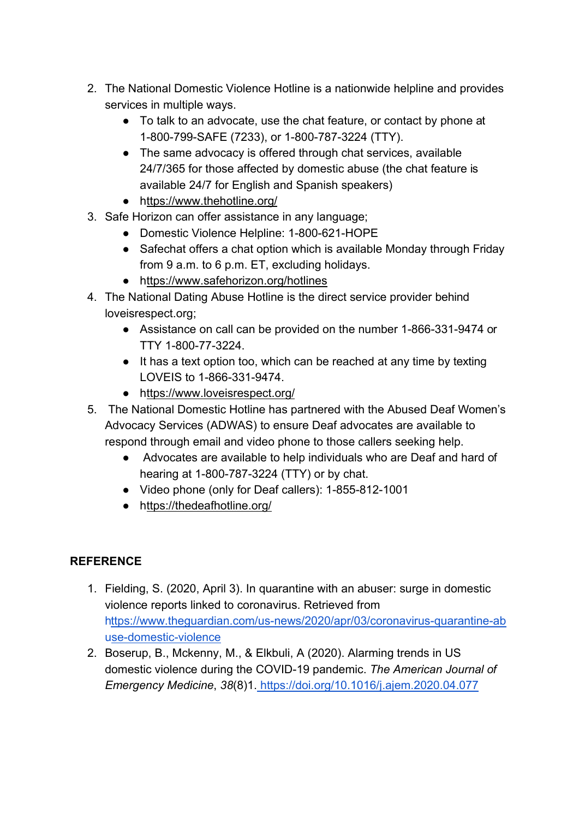- 2. The National Domestic Violence Hotline is a nationwide helpline and provides services in multiple ways.
	- To talk to an advocate, use the chat feature, or contact by phone at 1-800-799-SAFE (7233), or 1-800-787-3224 (TTY).
	- The same advocacy is offered through chat services, available 24/7/365 for those affected by domestic abuse [\(the chat feature is](https://www.thehotline.org/what-is-live-chat/) available 24/7 for English and Spanish speakers)
	- <https://www.thehotline.org/>
- 3. Safe Horizon can offer assistance in any language;
	- Domestic Violence Helpline: 1-800-621-HOPE
	- Safechat offers a chat option which is available Monday through Friday from 9 a.m. to 6 p.m. ET, excluding holidays.
	- <https://www.safehorizon.org/hotlines>
- 4. The [National Dating Abuse Hotline i](https://www.loveisrespect.org/)s the direct service provider behind loveisrespect.org;
	- Assistance on call can be provided on the number 1-866-331-9474 or TTY 1-800-77-3224.
	- It has a text option too, which can be reached at any time by texting LOVEIS to 1-866-331-9474.
	- <https://www.loveisrespect.org/>
- 5. The National Domestic Hotline has partnered with the Abused Deaf Women's Advocacy Services (ADWAS) to ensure Deaf advocates are available to respond through email and video phone to those callers seeking help.
	- Advocates are available to help individuals who are Deaf and hard of hearing at 1-800-787-3224 (TTY) or by chat.
	- Video phone (only for Deaf callers): 1-855-812-1001
	- <https://thedeafhotline.org/>

## **REFERENCE**

- 1. Fielding, S. (2020, April 3). In quarantine with an abuser: surge in domestic violence reports linked to coronavirus. Retrieved from [https://www.theguardian.com/us-news/2020/apr/03/coronavirus-quarantine-ab](https://www.theguardian.com/us-news/2020/apr/03/coronavirus-quarantine-abuse-domestic-violence) [use-domestic-violence](https://www.theguardian.com/us-news/2020/apr/03/coronavirus-quarantine-abuse-domestic-violence)
- 2. Boserup, B., Mckenny, M., & Elkbuli, A (2020). Alarming trends in US domestic violence during the COVID-19 pandemic. *The American Journal of Emergency Medicine*, *38*(8)1. <https://doi.org/10.1016/j.ajem.2020.04.077>